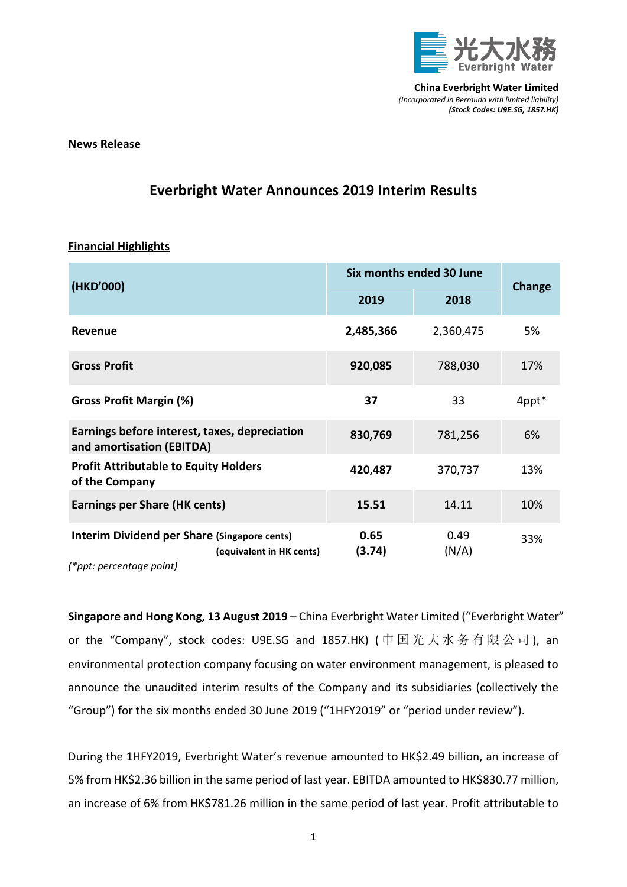

## **News Release**

## **Everbright Water Announces 2019 Interim Results**

## **Financial Highlights**

| (HKD'000)                                                                                                   | Six months ended 30 June |               |               |
|-------------------------------------------------------------------------------------------------------------|--------------------------|---------------|---------------|
|                                                                                                             | 2019                     | 2018          | <b>Change</b> |
| Revenue                                                                                                     | 2,485,366                | 2,360,475     | 5%            |
| <b>Gross Profit</b>                                                                                         | 920,085                  | 788,030       | 17%           |
| <b>Gross Profit Margin (%)</b>                                                                              | 37                       | 33            | 4ppt*         |
| Earnings before interest, taxes, depreciation<br>and amortisation (EBITDA)                                  | 830,769                  | 781,256       | 6%            |
| <b>Profit Attributable to Equity Holders</b><br>of the Company                                              | 420,487                  | 370,737       | 13%           |
| <b>Earnings per Share (HK cents)</b>                                                                        | 15.51                    | 14.11         | 10%           |
| <b>Interim Dividend per Share (Singapore cents)</b><br>(equivalent in HK cents)<br>(*ppt: percentage point) | 0.65<br>(3.74)           | 0.49<br>(N/A) | 33%           |

**Singapore and Hong Kong, 13 August 2019** – China Everbright Water Limited ("Everbright Water" or the "Company", stock codes: U9E.SG and 1857.HK) ( 中 国 光 大 水 务 有 限 公 司 ), an environmental protection company focusing on water environment management, is pleased to announce the unaudited interim results of the Company and its subsidiaries (collectively the

"Group") for the six months ended 30 June 2019 ("1HFY2019" or "period under review").

During the 1HFY2019, Everbright Water's revenue amounted to HK\$2.49 billion, an increase of 5% from HK\$2.36 billion in the same period of last year. EBITDA amounted to HK\$830.77 million, an increase of 6% from HK\$781.26 million in the same period of last year. Profit attributable to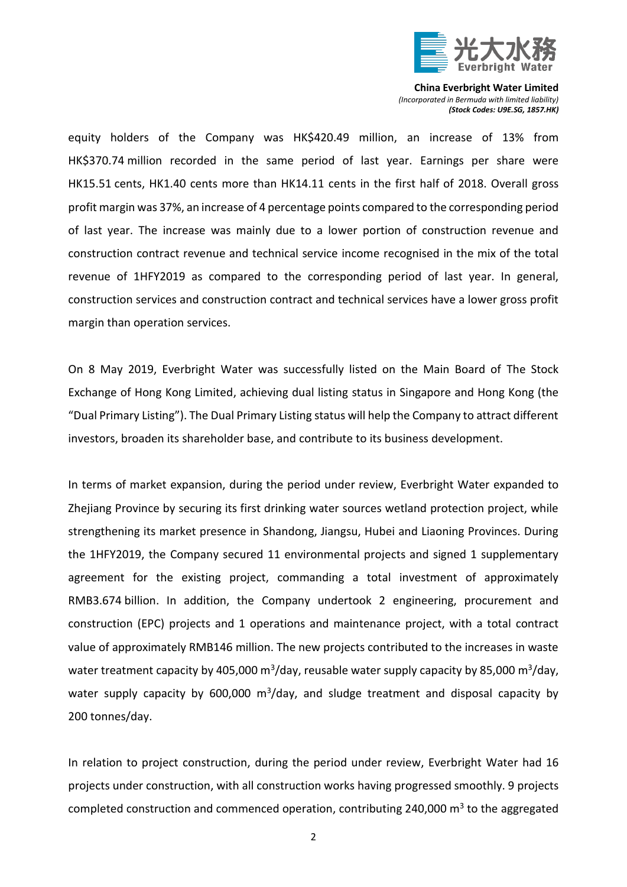

equity holders of the Company was HK\$420.49 million, an increase of 13% from HK\$370.74 million recorded in the same period of last year. Earnings per share were HK15.51 cents, HK1.40 cents more than HK14.11 cents in the first half of 2018. Overall gross profit margin was 37%, an increase of 4 percentage points compared to the corresponding period of last year. The increase was mainly due to a lower portion of construction revenue and construction contract revenue and technical service income recognised in the mix of the total revenue of 1HFY2019 as compared to the corresponding period of last year. In general, construction services and construction contract and technical services have a lower gross profit margin than operation services.

On 8 May 2019, Everbright Water was successfully listed on the Main Board of The Stock Exchange of Hong Kong Limited, achieving dual listing status in Singapore and Hong Kong (the "Dual Primary Listing"). The Dual Primary Listing status will help the Company to attract different investors, broaden its shareholder base, and contribute to its business development.

In terms of market expansion, during the period under review, Everbright Water expanded to Zhejiang Province by securing its first drinking water sources wetland protection project, while strengthening its market presence in Shandong, Jiangsu, Hubei and Liaoning Provinces. During the 1HFY2019, the Company secured 11 environmental projects and signed 1 supplementary agreement for the existing project, commanding a total investment of approximately RMB3.674 billion. In addition, the Company undertook 2 engineering, procurement and construction (EPC) projects and 1 operations and maintenance project, with a total contract value of approximately RMB146 million. The new projects contributed to the increases in waste water treatment capacity by 405,000 m<sup>3</sup>/day, reusable water supply capacity by 85,000 m<sup>3</sup>/day, water supply capacity by 600,000  $m^3$ /day, and sludge treatment and disposal capacity by 200 tonnes/day.

In relation to project construction, during the period under review, Everbright Water had 16 projects under construction, with all construction works having progressed smoothly. 9 projects completed construction and commenced operation, contributing 240,000  $\text{m}^3$  to the aggregated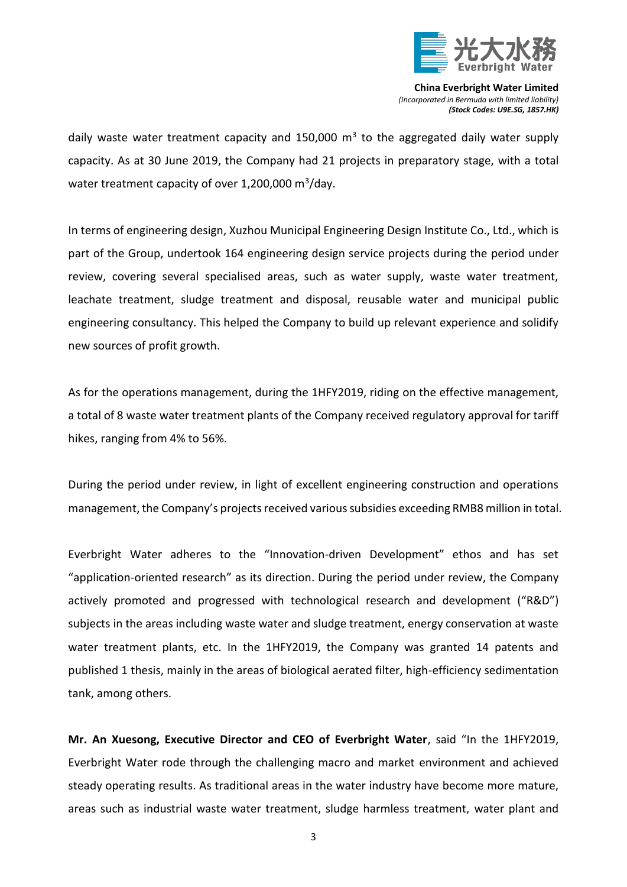

daily waste water treatment capacity and 150,000  $m<sup>3</sup>$  to the aggregated daily water supply capacity. As at 30 June 2019, the Company had 21 projects in preparatory stage, with a total water treatment capacity of over 1,200,000 m $3/$ day.

In terms of engineering design, Xuzhou Municipal Engineering Design Institute Co., Ltd., which is part of the Group, undertook 164 engineering design service projects during the period under review, covering several specialised areas, such as water supply, waste water treatment, leachate treatment, sludge treatment and disposal, reusable water and municipal public engineering consultancy. This helped the Company to build up relevant experience and solidify new sources of profit growth.

As for the operations management, during the 1HFY2019, riding on the effective management, a total of 8 waste water treatment plants of the Company received regulatory approval for tariff hikes, ranging from 4% to 56%.

During the period under review, in light of excellent engineering construction and operations management, the Company's projects received various subsidies exceeding RMB8 million in total.

Everbright Water adheres to the "Innovation-driven Development" ethos and has set "application-oriented research" as its direction. During the period under review, the Company actively promoted and progressed with technological research and development ("R&D") subjects in the areas including waste water and sludge treatment, energy conservation at waste water treatment plants, etc. In the 1HFY2019, the Company was granted 14 patents and published 1 thesis, mainly in the areas of biological aerated filter, high-efficiency sedimentation tank, among others.

**Mr. An Xuesong, Executive Director and CEO of Everbright Water**, said "In the 1HFY2019, Everbright Water rode through the challenging macro and market environment and achieved steady operating results. As traditional areas in the water industry have become more mature, areas such as industrial waste water treatment, sludge harmless treatment, water plant and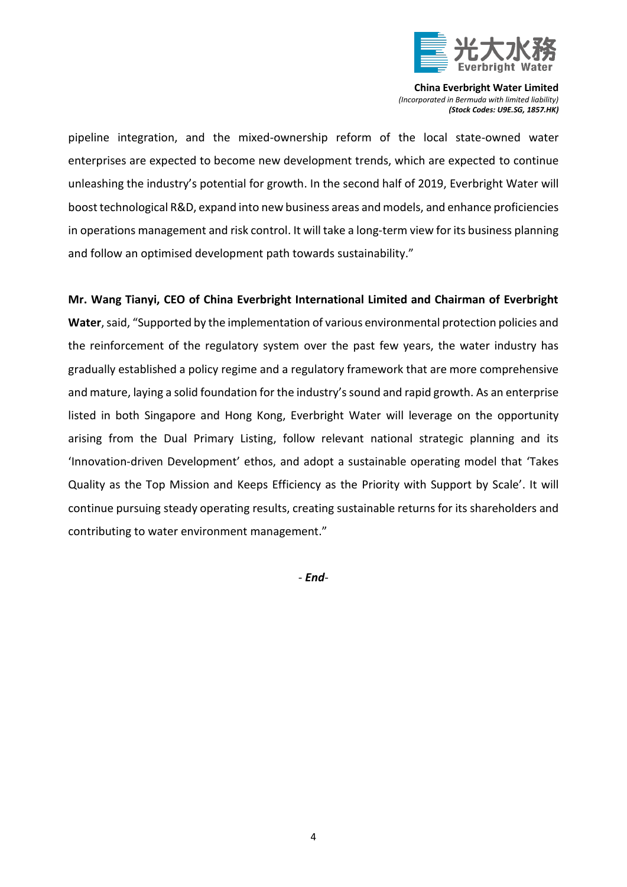

pipeline integration, and the mixed-ownership reform of the local state-owned water enterprises are expected to become new development trends, which are expected to continue unleashing the industry's potential for growth. In the second half of 2019, Everbright Water will boost technological R&D, expand into new business areas and models, and enhance proficiencies in operations management and risk control. It will take a long-term view for its business planning and follow an optimised development path towards sustainability."

**Mr. Wang Tianyi, CEO of China Everbright International Limited and Chairman of Everbright Water**, said, "Supported by the implementation of various environmental protection policies and the reinforcement of the regulatory system over the past few years, the water industry has gradually established a policy regime and a regulatory framework that are more comprehensive and mature, laying a solid foundation for the industry's sound and rapid growth. As an enterprise listed in both Singapore and Hong Kong, Everbright Water will leverage on the opportunity arising from the Dual Primary Listing, follow relevant national strategic planning and its 'Innovation-driven Development' ethos, and adopt a sustainable operating model that 'Takes Quality as the Top Mission and Keeps Efficiency as the Priority with Support by Scale'. It will continue pursuing steady operating results, creating sustainable returns for its shareholders and contributing to water environment management."

*- End-*